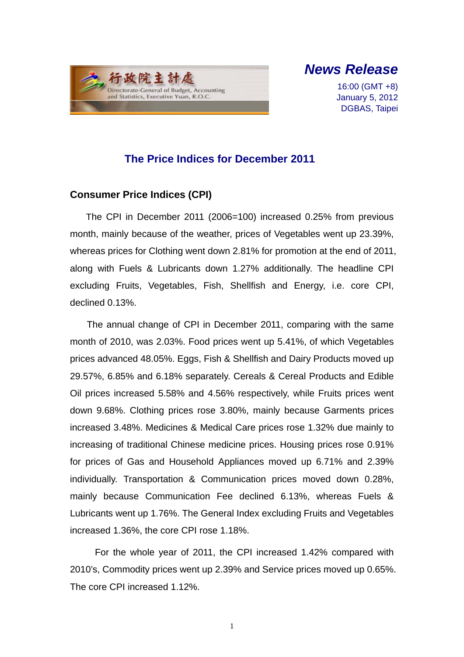

*News Release* 

16:00 (GMT +8) January 5, 2012 DGBAS, Taipei

## **The Price Indices for December 2011**

## **Consumer Price Indices (CPI)**

The CPI in December 2011 (2006=100) increased 0.25% from previous month, mainly because of the weather, prices of Vegetables went up 23.39%, whereas prices for Clothing went down 2.81% for promotion at the end of 2011, along with Fuels & Lubricants down 1.27% additionally. The headline CPI excluding Fruits, Vegetables, Fish, Shellfish and Energy, i.e. core CPI, declined 0.13%.

The annual change of CPI in December 2011, comparing with the same month of 2010, was 2.03%. Food prices went up 5.41%, of which Vegetables prices advanced 48.05%. Eggs, Fish & Shellfish and Dairy Products moved up 29.57%, 6.85% and 6.18% separately. Cereals & Cereal Products and Edible Oil prices increased 5.58% and 4.56% respectively, while Fruits prices went down 9.68%. Clothing prices rose 3.80%, mainly because Garments prices increased 3.48%. Medicines & Medical Care prices rose 1.32% due mainly to increasing of traditional Chinese medicine prices. Housing prices rose 0.91% for prices of Gas and Household Appliances moved up 6.71% and 2.39% individually. Transportation & Communication prices moved down 0.28%, mainly because Communication Fee declined 6.13%, whereas Fuels & Lubricants went up 1.76%. The General Index excluding Fruits and Vegetables increased 1.36%, the core CPI rose 1.18%.

For the whole year of 2011, the CPI increased 1.42% compared with 2010's, Commodity prices went up 2.39% and Service prices moved up 0.65%. The core CPI increased 1.12%.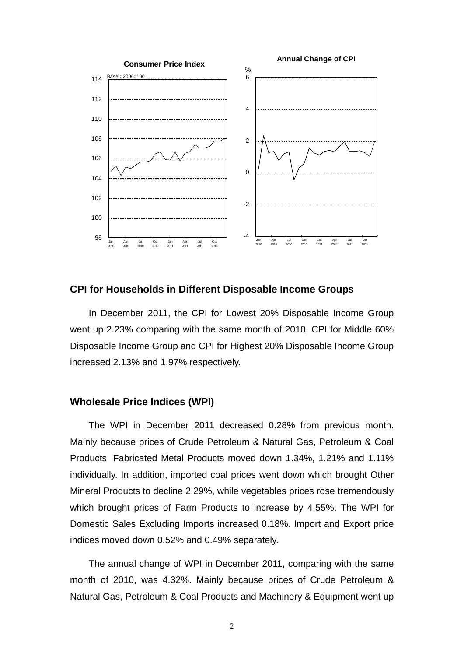

## **CPI for Households in Different Disposable Income Groups**

In December 2011, the CPI for Lowest 20% Disposable Income Group went up 2.23% comparing with the same month of 2010, CPI for Middle 60% Disposable Income Group and CPI for Highest 20% Disposable Income Group increased 2.13% and 1.97% respectively.

## **Wholesale Price Indices (WPI)**

The WPI in December 2011 decreased 0.28% from previous month. Mainly because prices of Crude Petroleum & Natural Gas, Petroleum & Coal Products, Fabricated Metal Products moved down 1.34%, 1.21% and 1.11% individually. In addition, imported coal prices went down which brought Other Mineral Products to decline 2.29%, while vegetables prices rose tremendously which brought prices of Farm Products to increase by 4.55%. The WPI for Domestic Sales Excluding Imports increased 0.18%. Import and Export price indices moved down 0.52% and 0.49% separately.

The annual change of WPI in December 2011, comparing with the same month of 2010, was 4.32%. Mainly because prices of Crude Petroleum & Natural Gas, Petroleum & Coal Products and Machinery & Equipment went up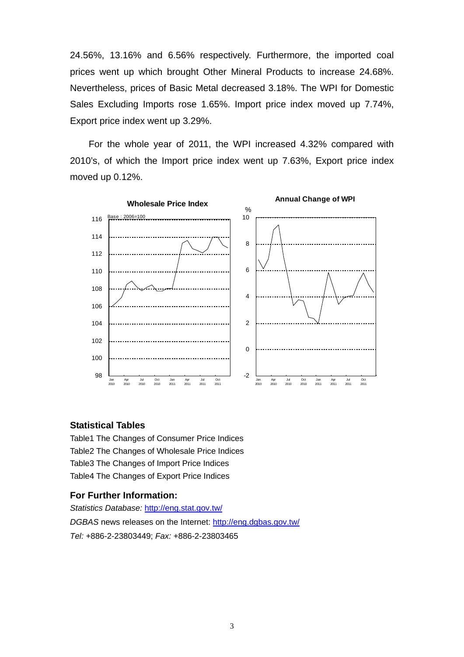24.56%, 13.16% and 6.56% respectively. Furthermore, the imported coal prices went up which brought Other Mineral Products to increase 24.68%. Nevertheless, prices of Basic Metal decreased 3.18%. The WPI for Domestic Sales Excluding Imports rose 1.65%. Import price index moved up 7.74%, Export price index went up 3.29%.

For the whole year of 2011, the WPI increased 4.32% compared with 2010's, of which the Import price index went up 7.63%, Export price index moved up 0.12%.



## **Statistical Tables**

Table1 The Changes of Consumer Price Indices Table2 The Changes of Wholesale Price Indices Table3 The Changes of Import Price Indices Table4 The Changes of Export Price Indices

#### **For Further Information:**

*Statistics Database:* http://eng.stat.gov.tw/ *DGBAS* news releases on the Internet: http://eng.dgbas.gov.tw/ *Tel:* +886-2-23803449; *Fax:* +886-2-23803465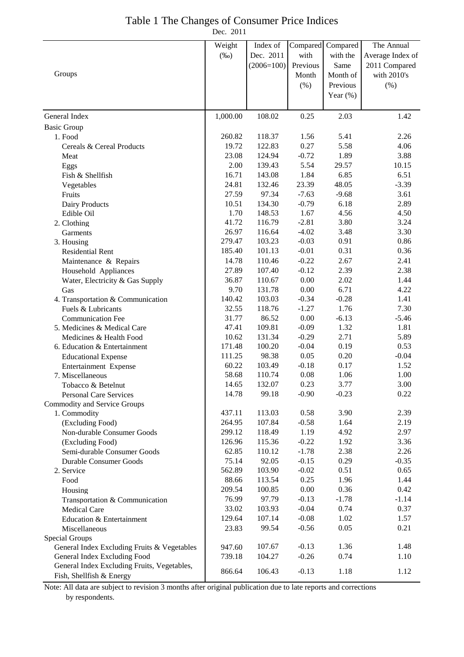# Table 1 The Changes of Consumer Price Indices

Dec. 2011

|                                                               | Weight         | Index of         | Compared        | Compared     | The Annual       |
|---------------------------------------------------------------|----------------|------------------|-----------------|--------------|------------------|
|                                                               | $(\%0)$        | Dec. 2011        | with            | with the     | Average Index of |
|                                                               |                | $(2006=100)$     | Previous        | Same         | 2011 Compared    |
| Groups                                                        |                |                  | Month           | Month of     | with 2010's      |
|                                                               |                |                  | $(\% )$         | Previous     | $(\% )$          |
|                                                               |                |                  |                 | Year $(\%)$  |                  |
|                                                               |                |                  |                 |              |                  |
| General Index                                                 | 1,000.00       | 108.02           | 0.25            | 2.03         | 1.42             |
| <b>Basic Group</b>                                            |                |                  |                 |              |                  |
| 1. Food                                                       | 260.82         | 118.37           | 1.56            | 5.41         | 2.26             |
| Cereals & Cereal Products                                     | 19.72          | 122.83           | 0.27            | 5.58         | 4.06             |
| Meat                                                          | 23.08          | 124.94           | $-0.72$         | 1.89         | 3.88             |
| Eggs                                                          | 2.00           | 139.43           | 5.54            | 29.57        | 10.15            |
| Fish & Shellfish                                              | 16.71          | 143.08           | 1.84            | 6.85         | 6.51             |
| Vegetables                                                    | 24.81          | 132.46           | 23.39           | 48.05        | $-3.39$          |
| Fruits                                                        | 27.59          | 97.34            | $-7.63$         | $-9.68$      | 3.61             |
| Dairy Products                                                | 10.51          | 134.30           | $-0.79$         | 6.18         | 2.89             |
| Edible Oil                                                    | 1.70           | 148.53           | 1.67            | 4.56         | 4.50             |
| 2. Clothing                                                   | 41.72          | 116.79           | $-2.81$         | 3.80         | 3.24             |
| Garments                                                      | 26.97          | 116.64           | $-4.02$         | 3.48         | 3.30             |
| 3. Housing                                                    | 279.47         | 103.23           | $-0.03$         | 0.91         | 0.86             |
| <b>Residential Rent</b>                                       | 185.40         | 101.13           | $-0.01$         | 0.31         | 0.36             |
| Maintenance & Repairs                                         | 14.78          | 110.46           | $-0.22$         | 2.67         | 2.41             |
| Household Appliances                                          | 27.89          | 107.40           | $-0.12$         | 2.39         | 2.38             |
| Water, Electricity & Gas Supply                               | 36.87          | 110.67           | 0.00            | 2.02         | 1.44             |
| Gas                                                           | 9.70           | 131.78           | 0.00            | 6.71         | 4.22             |
| 4. Transportation & Communication                             | 140.42         | 103.03           | $-0.34$         | $-0.28$      | 1.41             |
| Fuels & Lubricants                                            | 32.55          | 118.76           | $-1.27$         | 1.76         | 7.30             |
| <b>Communication Fee</b>                                      | 31.77          | 86.52            | 0.00            | $-6.13$      | $-5.46$          |
| 5. Medicines & Medical Care                                   | 47.41          | 109.81           | $-0.09$         | 1.32         | 1.81             |
| Medicines & Health Food                                       | 10.62          | 131.34           | $-0.29$         | 2.71         | 5.89             |
| 6. Education & Entertainment                                  | 171.48         | 100.20           | $-0.04$         | 0.19         | 0.53             |
| <b>Educational Expense</b>                                    | 111.25         | 98.38            | 0.05            | 0.20         | $-0.04$          |
| Entertainment Expense                                         | 60.22<br>58.68 | 103.49<br>110.74 | $-0.18$<br>0.08 | 0.17<br>1.06 | 1.52<br>1.00     |
| 7. Miscellaneous                                              | 14.65          | 132.07           | 0.23            | 3.77         | 3.00             |
| Tobacco & Betelnut                                            | 14.78          | 99.18            | $-0.90$         | $-0.23$      | 0.22             |
| <b>Personal Care Services</b><br>Commodity and Service Groups |                |                  |                 |              |                  |
| 1. Commodity                                                  | 437.11         | 113.03           | 0.58            | 3.90         | 2.39             |
| (Excluding Food)                                              | 264.95         | 107.84           | $-0.58$         | 1.64         | 2.19             |
| Non-durable Consumer Goods                                    | 299.12         | 118.49           | 1.19            | 4.92         | 2.97             |
| (Excluding Food)                                              | 126.96         | 115.36           | $-0.22$         | 1.92         | 3.36             |
| Semi-durable Consumer Goods                                   | 62.85          | 110.12           | $-1.78$         | 2.38         | 2.26             |
| Durable Consumer Goods                                        | 75.14          | 92.05            | $-0.15$         | 0.29         | $-0.35$          |
| 2. Service                                                    | 562.89         | 103.90           | $-0.02$         | 0.51         | 0.65             |
| Food                                                          | 88.66          | 113.54           | 0.25            | 1.96         | 1.44             |
| Housing                                                       | 209.54         | 100.85           | 0.00            | 0.36         | 0.42             |
| Transportation & Communication                                | 76.99          | 97.79            | $-0.13$         | $-1.78$      | $-1.14$          |
| Medical Care                                                  | 33.02          | 103.93           | $-0.04$         | 0.74         | 0.37             |
| Education & Entertainment                                     | 129.64         | 107.14           | $-0.08$         | 1.02         | 1.57             |
| Miscellaneous                                                 | 23.83          | 99.54            | $-0.56$         | 0.05         | 0.21             |
| Special Groups                                                |                |                  |                 |              |                  |
| General Index Excluding Fruits & Vegetables                   | 947.60         | 107.67           | $-0.13$         | 1.36         | 1.48             |
| General Index Excluding Food                                  | 739.18         | 104.27           | $-0.26$         | 0.74         | 1.10             |
| General Index Excluding Fruits, Vegetables,                   | 866.64         | 106.43           | $-0.13$         | 1.18         | 1.12             |
| Fish, Shellfish & Energy                                      |                |                  |                 |              |                  |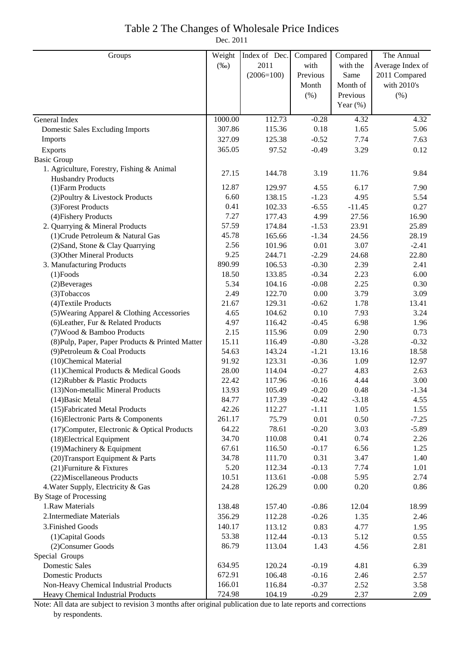# Table 2 The Changes of Wholesale Price Indices

Dec. 2011

| Groups                                                                            | Weight<br>$(\%0)$ | Index of Dec.<br>2011 | Compared<br>with  | Compared<br>with the | The Annual<br>Average Index of |
|-----------------------------------------------------------------------------------|-------------------|-----------------------|-------------------|----------------------|--------------------------------|
|                                                                                   |                   | $(2006=100)$          | Previous<br>Month | Same<br>Month of     | 2011 Compared<br>with 2010's   |
|                                                                                   |                   |                       | (%)               | Previous             | $(\% )$                        |
|                                                                                   |                   |                       |                   | Year $(\%)$          |                                |
| General Index                                                                     | 1000.00           | 112.73                | $-0.28$           | 4.32                 | 4.32                           |
| <b>Domestic Sales Excluding Imports</b>                                           | 307.86            | 115.36                | 0.18              | 1.65                 | 5.06                           |
| Imports                                                                           | 327.09            | 125.38                | $-0.52$           | 7.74                 | 7.63                           |
| Exports                                                                           | 365.05            | 97.52                 | $-0.49$           | 3.29                 | 0.12                           |
| <b>Basic Group</b>                                                                |                   |                       |                   |                      |                                |
| 1. Agriculture, Forestry, Fishing & Animal                                        | 27.15             | 144.78                | 3.19              | 11.76                | 9.84                           |
| <b>Husbandry Products</b>                                                         |                   |                       |                   |                      |                                |
| (1) Farm Products                                                                 | 12.87             | 129.97                | 4.55              | 6.17                 | 7.90                           |
| (2) Poultry & Livestock Products                                                  | 6.60              | 138.15                | $-1.23$           | 4.95                 | 5.54                           |
| (3) Forest Products                                                               | 0.41              | 102.33                | $-6.55$           | $-11.45$             | 0.27                           |
| (4) Fishery Products                                                              | 7.27              | 177.43                | 4.99              | 27.56                | 16.90                          |
| 2. Quarrying & Mineral Products                                                   | 57.59             | 174.84                | $-1.53$           | 23.91                | 25.89                          |
| (1) Crude Petroleum & Natural Gas                                                 | 45.78             | 165.66                | $-1.34$           | 24.56                | 28.19                          |
| (2) Sand, Stone & Clay Quarrying                                                  | 2.56              | 101.96                | 0.01              | 3.07                 | $-2.41$                        |
| (3) Other Mineral Products                                                        | 9.25              | 244.71                | $-2.29$           | 24.68                | 22.80                          |
| 3. Manufacturing Products                                                         | 890.99            | 106.53                | $-0.30$           | 2.39                 | 2.41                           |
| $(1)$ Foods                                                                       | 18.50             | 133.85                | $-0.34$           | 2.23                 | 6.00                           |
| (2) Beverages                                                                     | 5.34              | 104.16                | $-0.08$           | 2.25                 | 0.30                           |
| (3) Tobaccos                                                                      | 2.49              | 122.70                | 0.00              | 3.79                 | 3.09                           |
| (4) Textile Products                                                              | 21.67<br>4.65     | 129.31<br>104.62      | $-0.62$<br>0.10   | 1.78<br>7.93         | 13.41<br>3.24                  |
| (5) Wearing Apparel & Clothing Accessories<br>(6) Leather, Fur & Related Products | 4.97              | 116.42                | $-0.45$           | 6.98                 | 1.96                           |
| (7) Wood & Bamboo Products                                                        | 2.15              | 115.96                | 0.09              | 2.90                 | 0.73                           |
| (8) Pulp, Paper, Paper Products & Printed Matter                                  | 15.11             | 116.49                | $-0.80$           | $-3.28$              | $-0.32$                        |
| (9) Petroleum & Coal Products                                                     | 54.63             | 143.24                | $-1.21$           | 13.16                | 18.58                          |
| (10)Chemical Material                                                             | 91.92             | 123.31                | $-0.36$           | 1.09                 | 12.97                          |
| (11) Chemical Products & Medical Goods                                            | 28.00             | 114.04                | $-0.27$           | 4.83                 | 2.63                           |
| (12) Rubber & Plastic Products                                                    | 22.42             | 117.96                | $-0.16$           | 4.44                 | 3.00                           |
| (13) Non-metallic Mineral Products                                                | 13.93             | 105.49                | $-0.20$           | 0.48                 | $-1.34$                        |
| $(14)$ Basic Metal                                                                | 84.77             | 117.39                | $-0.42$           | $-3.18$              | 4.55                           |
| (15) Fabricated Metal Products                                                    | 42.26             | 112.27                | $-1.11$           | 1.05                 | 1.55                           |
| (16) Electronic Parts & Components                                                | 261.17            | 75.79                 | 0.01              | 0.50                 | $-7.25$                        |
| (17) Computer, Electronic & Optical Products                                      | 64.22             | 78.61                 | $-0.20$           | 3.03                 | $-5.89$                        |
| (18) Electrical Equipment                                                         | 34.70             | 110.08                | 0.41              | 0.74                 | 2.26                           |
| (19) Machinery & Equipment                                                        | 67.61             | 116.50                | $-0.17$           | 6.56                 | 1.25                           |
| (20) Transport Equipment & Parts                                                  | 34.78             | 111.70                | 0.31              | 3.47                 | 1.40                           |
| (21) Furniture & Fixtures                                                         | 5.20              | 112.34                | $-0.13$           | 7.74                 | 1.01                           |
| (22) Miscellaneous Products                                                       | 10.51             | 113.61                | $-0.08$           | 5.95                 | 2.74                           |
| 4. Water Supply, Electricity & Gas                                                | 24.28             | 126.29                | 0.00              | 0.20                 | 0.86                           |
| By Stage of Processing                                                            |                   |                       |                   |                      |                                |
| 1.Raw Materials                                                                   | 138.48            | 157.40                | $-0.86$           | 12.04                | 18.99                          |
| 2. Intermediate Materials                                                         | 356.29            | 112.28                | $-0.26$           | 1.35                 | 2.46                           |
| 3. Finished Goods                                                                 | 140.17            | 113.12                | 0.83              | 4.77                 | 1.95                           |
| (1) Capital Goods                                                                 | 53.38             | 112.44                | $-0.13$           | 5.12                 | 0.55                           |
| (2) Consumer Goods                                                                | 86.79             | 113.04                | 1.43              | 4.56                 | 2.81                           |
| Special Groups                                                                    |                   |                       |                   |                      |                                |
| <b>Domestic Sales</b>                                                             | 634.95            | 120.24                | $-0.19$           | 4.81                 | 6.39                           |
| <b>Domestic Products</b>                                                          | 672.91            | 106.48                | $-0.16$           | 2.46                 | 2.57                           |
| Non-Heavy Chemical Industrial Products                                            | 166.01            | 116.84                | $-0.37$           | 2.52                 | 3.58                           |
| Heavy Chemical Industrial Products                                                | 724.98            | 104.19                | $-0.29$           | 2.37                 | 2.09                           |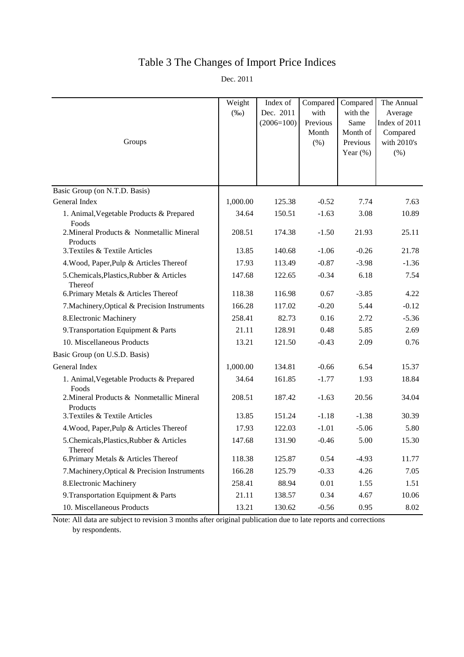# Table 3 The Changes of Import Price Indices

Dec. 2011

| Groups                                                | Weight<br>$(\%0)$ | Index of<br>Dec. 2011<br>$(2006=100)$ | Compared<br>with<br>Previous<br>Month<br>(% ) | Compared<br>with the<br>Same<br>Month of<br>Previous<br>Year $(\%)$ | The Annual<br>Average<br>Index of 2011<br>Compared<br>with 2010's<br>(% ) |
|-------------------------------------------------------|-------------------|---------------------------------------|-----------------------------------------------|---------------------------------------------------------------------|---------------------------------------------------------------------------|
|                                                       |                   |                                       |                                               |                                                                     |                                                                           |
| Basic Group (on N.T.D. Basis)                         |                   |                                       |                                               |                                                                     |                                                                           |
| General Index                                         | 1,000.00          | 125.38                                | $-0.52$                                       | 7.74                                                                | 7.63                                                                      |
| 1. Animal, Vegetable Products & Prepared<br>Foods     | 34.64             | 150.51                                | $-1.63$                                       | 3.08                                                                | 10.89                                                                     |
| 2. Mineral Products & Nonmetallic Mineral<br>Products | 208.51            | 174.38                                | $-1.50$                                       | 21.93                                                               | 25.11                                                                     |
| 3. Textiles & Textile Articles                        | 13.85             | 140.68                                | $-1.06$                                       | $-0.26$                                                             | 21.78                                                                     |
| 4. Wood, Paper, Pulp & Articles Thereof               | 17.93             | 113.49                                | $-0.87$                                       | $-3.98$                                                             | $-1.36$                                                                   |
| 5.Chemicals, Plastics, Rubber & Articles<br>Thereof   | 147.68            | 122.65                                | $-0.34$                                       | 6.18                                                                | 7.54                                                                      |
| 6. Primary Metals & Articles Thereof                  | 118.38            | 116.98                                | 0.67                                          | $-3.85$                                                             | 4.22                                                                      |
| 7. Machinery, Optical & Precision Instruments         | 166.28            | 117.02                                | $-0.20$                                       | 5.44                                                                | $-0.12$                                                                   |
| 8. Electronic Machinery                               | 258.41            | 82.73                                 | 0.16                                          | 2.72                                                                | $-5.36$                                                                   |
| 9. Transportation Equipment & Parts                   | 21.11             | 128.91                                | 0.48                                          | 5.85                                                                | 2.69                                                                      |
| 10. Miscellaneous Products                            | 13.21             | 121.50                                | $-0.43$                                       | 2.09                                                                | 0.76                                                                      |
| Basic Group (on U.S.D. Basis)                         |                   |                                       |                                               |                                                                     |                                                                           |
| General Index                                         | 1,000.00          | 134.81                                | $-0.66$                                       | 6.54                                                                | 15.37                                                                     |
| 1. Animal, Vegetable Products & Prepared<br>Foods     | 34.64             | 161.85                                | $-1.77$                                       | 1.93                                                                | 18.84                                                                     |
| 2. Mineral Products & Nonmetallic Mineral<br>Products | 208.51            | 187.42                                | $-1.63$                                       | 20.56                                                               | 34.04                                                                     |
| 3. Textiles & Textile Articles                        | 13.85             | 151.24                                | $-1.18$                                       | $-1.38$                                                             | 30.39                                                                     |
| 4. Wood, Paper, Pulp & Articles Thereof               | 17.93             | 122.03                                | $-1.01$                                       | $-5.06$                                                             | 5.80                                                                      |
| 5. Chemicals, Plastics, Rubber & Articles<br>Thereof  | 147.68            | 131.90                                | $-0.46$                                       | 5.00                                                                | 15.30                                                                     |
| 6. Primary Metals & Articles Thereof                  | 118.38            | 125.87                                | 0.54                                          | $-4.93$                                                             | 11.77                                                                     |
| 7. Machinery, Optical & Precision Instruments         | 166.28            | 125.79                                | $-0.33$                                       | 4.26                                                                | 7.05                                                                      |
| 8. Electronic Machinery                               | 258.41            | 88.94                                 | 0.01                                          | 1.55                                                                | 1.51                                                                      |
| 9. Transportation Equipment & Parts                   | 21.11             | 138.57                                | 0.34                                          | 4.67                                                                | 10.06                                                                     |
| 10. Miscellaneous Products                            | 13.21             | 130.62                                | $-0.56$                                       | 0.95                                                                | 8.02                                                                      |